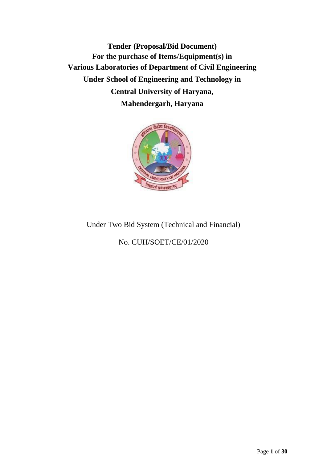**Tender (Proposal/Bid Document) For the purchase of Items/Equipment(s) in Various Laboratories of Department of Civil Engineering Under School of Engineering and Technology in Central University of Haryana, Mahendergarh, Haryana**



# Under Two Bid System (Technical and Financial)

No. CUH/SOET/CE/01/2020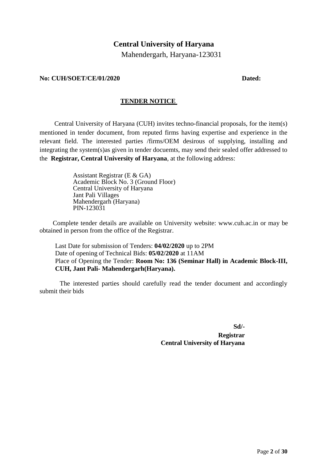# **Central University of Haryana**

Mahendergarh, Haryana-123031

#### **No: CUH/SOET/CE/01/2020 Dated:**

#### **TENDER NOTICE**

Central University of Haryana (CUH) invites techno-financial proposals, for the item(s) mentioned in tender document, from reputed firms having expertise and experience in the relevant field. The interested parties /firms/OEM desirous of supplying, installing and integrating the system(s)as given in tender docuemts, may send their sealed offer addressed to the **Registrar, Central University of Haryana**, at the following address:

> Assistant Registrar (E & GA) Academic Block No. 3 (Ground Floor) Central University of Haryana Jant Pali Villages Mahendergarh (Haryana) PIN-123031

Complete tender details are available on University website: [www.cuh.ac.in](http://www.cuh.ac.in/) or may be obtained in person from the office of the Registrar.

Last Date for submission of Tenders: **04/02/2020** up to 2PM Date of opening of Technical Bids: **05/02/2020** at 11AM Place of Opening the Tender: **Room No: 136 (Seminar Hall) in Academic Block-III, CUH, Jant Pali- Mahendergarh(Haryana).**

The interested parties should carefully read the tender document and accordingly submit their bids

**Sd/-**

**Registrar Central University of Haryana**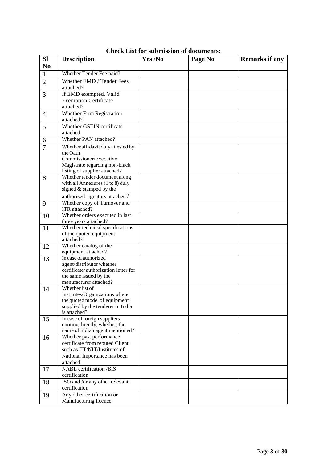| <b>SI</b>      | <b>Description</b>                                             | Yes /No | Page No | <b>Remarks if any</b> |
|----------------|----------------------------------------------------------------|---------|---------|-----------------------|
| N <sub>0</sub> |                                                                |         |         |                       |
| $\mathbf{1}$   | Whether Tender Fee paid?                                       |         |         |                       |
| $\overline{2}$ | Whether EMD / Tender Fees                                      |         |         |                       |
|                | attached?                                                      |         |         |                       |
| 3              | If EMD exempted, Valid                                         |         |         |                       |
|                | <b>Exemption Certificate</b>                                   |         |         |                       |
|                | attached?                                                      |         |         |                       |
| $\overline{4}$ | Whether Firm Registration                                      |         |         |                       |
|                | attached?                                                      |         |         |                       |
| 5              | Whether GSTIN certificate                                      |         |         |                       |
|                | attached<br>Whether PAN attached?                              |         |         |                       |
| 6              |                                                                |         |         |                       |
| $\overline{7}$ | Whether affidavit duly attested by<br>the Oath                 |         |         |                       |
|                | Commissioner/Executive                                         |         |         |                       |
|                | Magistrate regarding non-black                                 |         |         |                       |
|                | listing of supplier attached?                                  |         |         |                       |
| 8              | Whether tender document along                                  |         |         |                       |
|                | with all Annexures (1 to 8) duly                               |         |         |                       |
|                | signed & stamped by the                                        |         |         |                       |
|                | authorized signatory attached?                                 |         |         |                       |
| 9              | Whether copy of Turnover and                                   |         |         |                       |
|                | ITR attached?                                                  |         |         |                       |
| 10             | Whether orders executed in last                                |         |         |                       |
|                | three years attached?<br>Whether technical specifications      |         |         |                       |
| 11             | of the quoted equipment                                        |         |         |                       |
|                | attached?                                                      |         |         |                       |
| 12             | Whether catalog of the                                         |         |         |                       |
|                | equipment attached?                                            |         |         |                       |
| 13             | In case of authorized                                          |         |         |                       |
|                | agent/distributor whether                                      |         |         |                       |
|                | certificate/authorization letter for<br>the same issued by the |         |         |                       |
|                | manufacturer attached?                                         |         |         |                       |
| 14             | Whether list of                                                |         |         |                       |
|                | Institutes/Organizations where                                 |         |         |                       |
|                | the quoted model of equipment                                  |         |         |                       |
|                | supplied by the tenderer in India                              |         |         |                       |
|                | is attached?                                                   |         |         |                       |
| 15             | In case of foreign suppliers<br>quoting directly, whether, the |         |         |                       |
|                | name of Indian agent mentioned?                                |         |         |                       |
| 16             | Whether past performance                                       |         |         |                       |
|                | certificate from reputed Client                                |         |         |                       |
|                | such as IIT/NIT/Institutes of                                  |         |         |                       |
|                | National Importance has been                                   |         |         |                       |
|                | attached                                                       |         |         |                       |
| 17             | <b>NABL</b> certification /BIS                                 |         |         |                       |
|                | certification                                                  |         |         |                       |
| 18             | ISO and /or any other relevant                                 |         |         |                       |
|                | certification                                                  |         |         |                       |
| 19             | Any other certification or                                     |         |         |                       |
|                | Manufacturing licence                                          |         |         |                       |

**Check List for submission of documents:**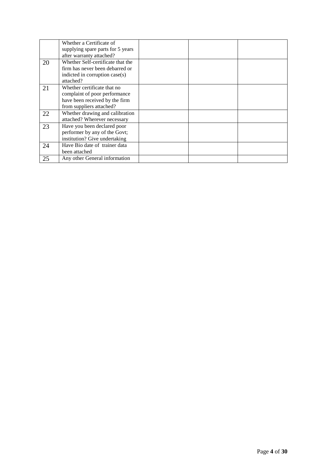|    | Whether a Certificate of<br>supplying spare parts for 5 years |  |  |
|----|---------------------------------------------------------------|--|--|
|    | after warranty attached?                                      |  |  |
| 20 | Whether Self-certificate that the                             |  |  |
|    | firm has never been debarred or                               |  |  |
|    | indicted in corruption case(s)                                |  |  |
|    | attached?                                                     |  |  |
| 21 | Whether certificate that no                                   |  |  |
|    | complaint of poor performance                                 |  |  |
|    | have been received by the firm                                |  |  |
|    | from suppliers attached?                                      |  |  |
| 22 | Whether drawing and calibration                               |  |  |
|    | attached? Wherever necessary                                  |  |  |
| 23 | Have you been declared poor                                   |  |  |
|    | performer by any of the Govt;                                 |  |  |
|    | institution? Give undertaking                                 |  |  |
| 24 | Have Bio date of trainer data                                 |  |  |
|    | been attached                                                 |  |  |
| 25 | Any other General information                                 |  |  |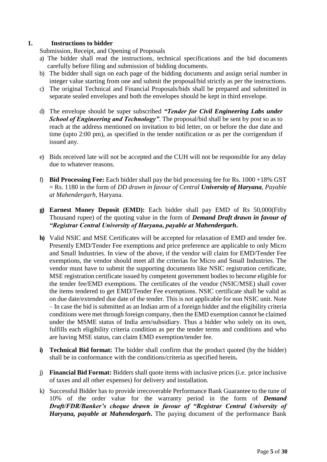# **1. Instructions to bidder**

Submission, Receipt, and Opening of Proposals

- a) The bidder shall read the instructions, technical specifications and the bid documents carefully before filing and submission of bidding documents.
- b) The bidder shall sign on each page of the bidding documents and assign serial number in integer value starting from one and submit the proposal/bid strictly as per the instructions.
- c) The original Technical and Financial Proposals/bids shall be prepared and submitted in separate sealed envelopes and both the envelopes should be kept in third envelope.
- d) The envelope should be super subscribed *"Tender for Civil Engineering Labs under School of Engineering and Technology*". The proposal/bid shall be sent by post so as to reach at the address mentioned on invitation to bid letter, on or before the due date and time (upto 2:00 pm), as specified in the tender notification or as per the corrigendum if issued any.
- e) Bids received late will not be accepted and the CUH will not be responsible for any delay due to whatever reasons.
- f) **Bid Processing Fee:** Each bidder shall pay the bid processing fee for Rs. 1000 +18% GST = Rs. 1180 in the form of *DD drawn in favour of Central University of Haryana, Payable at Mahendergarh*, Haryana.
- **g) Earnest Money Deposit (EMD):** Each bidder shall pay EMD of Rs 50,000(Fifty Thousand rupee) of the quoting value in the form of *Demand Draft drawn in favour of "Registrar Central University of Haryana, payable at Mahendergarh***.**
- **h)** Valid NSIC and MSE Certificates will be accepted for relaxation of EMD and tender fee. Presently EMD/Tender Fee exemptions and price preference are applicable to only Micro and Small Industries. In view of the above, if the vendor will claim for EMD/Tender Fee exemptions, the vendor should meet all the criterias for Micro and Small Industries. The vendor must have to submit the supporting documents like NSIC registration certificate, MSE registration certificate issued by competent government bodies to become eligible for the tender fee/EMD exemptions. The certificates of the vendor (NSIC/MSE) shall cover the items tendered to get EMD/Tender Fee exemptions. NSIC certificate shall be valid as on due date/extended due date of the tender. This is not applicable for non NSIC unit. Note – In case the bid is submitted as an Indian arm of a foreign bidder and the eligibility criteria conditions were met through foreign company, then the EMD exemption cannot be claimed under the MSME status of India arm/subsidiary. Thus a bidder who solely on its own, fulfills each eligibility criteria condition as per the tender terms and conditions and who are having MSE status, can claim EMD exemption/tender fee.
- **i) Technical Bid format:** The bidder shall confirm that the product quoted (by the bidder) shall be in conformance with the conditions/criteria as specified herein**.**
- j) **Financial Bid Format:** Bidders shall quote items with inclusive prices (i.e. price inclusive of taxes and all other expenses) for delivery and installation.
- k) Successful Bidder has to provide irrecoverable Performance Bank Guarantee to the tune of 10% of the order value for the warranty period in the form of *Demand Draft/FDR/Banker's cheque drawn in favour of "Registrar Central University of Haryana, payable at Mahendergarh***.** The paying document of the performance Bank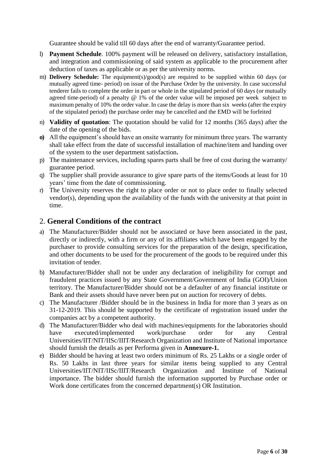Guarantee should be valid till 60 days after the end of warranty/Guarantee period.

- l) **Payment Schedule**. 100% payment will be released on delivery, satisfactory installation, and integration and commissioning of said system as applicable to the procurement after deduction of taxes as applicable or as per the university norms.
- m) **Delivery Schedule:** The equipment(s)/good(s) are required to be supplied within 60 days (or mutually agreed time- period) on issue of the Purchase Order by the university. In case successful tenderer fails to complete the order in part or whole in the stipulated period of 60 days (or mutually agreed time-period) of a penalty @ 1% of the order value will be imposed per week subject to maximum penalty of 10% the order value. In case the delay is more than six weeks (after the expiry of the stipulated period) the purchase order may be cancelled and the EMD will be forfeited
- n) **Validity of quotation**: The quotation should be valid for 12 months (365 days) after the date of the opening of the bids.
- **o)** All the equipment's should have an onsite warranty for minimum three years. The warranty shall take effect from the date of successful installation of machine/item and handing over of the system to the user department satisfaction**.**
- p) The maintenance services, including spares parts shall be free of cost during the warranty/ guarantee period.
- q) The supplier shall provide assurance to give spare parts of the items/Goods at least for 10 years' time from the date of commissioning.
- r) The University reserves the right to place order or not to place order to finally selected vendor(s), depending upon the availability of the funds with the university at that point in time.

# 2. **General Conditions of the contract**

- a) The Manufacturer/Bidder should not be associated or have been associated in the past, directly or indirectly, with a firm or any of its affiliates which have been engaged by the purchaser to provide consulting services for the preparation of the design, specification, and other documents to be used for the procurement of the goods to be required under this invitation of tender.
- b) Manufacturer/Bidder shall not be under any declaration of ineligibility for corrupt and fraudulent practices issued by any State Government/Government of India (GOI)/Union territory. The Manufacturer/Bidder should not be a defaulter of any financial institute or Bank and their assets should have never been put on auction for recovery of debts.
- c) The Manufacturer /Bidder should be in the business in India for more than 3 years as on 31-12-2019. This should be supported by the certificate of registration issued under the companies act by a competent authority.
- d) The Manufacturer/Bidder who deal with machines/equipments for the laboratories should have executed/implemented work/purchase order for any Central Universities/IIT/NIT/IISc/IIIT/Research Organization and Institute of National importance should furnish the details as per Performa given in **Annexure-1.**
- e) Bidder should be having at least two orders minimum of Rs. 25 Lakhs or a single order of Rs. 50 Lakhs in last three years for similar items being supplied to any Central Universities/IIT/NIT/IISc/IIIT/Research Organization and Institute of National importance. The bidder should furnish the information supported by Purchase order or Work done certificates from the concerned department(s) OR Institution.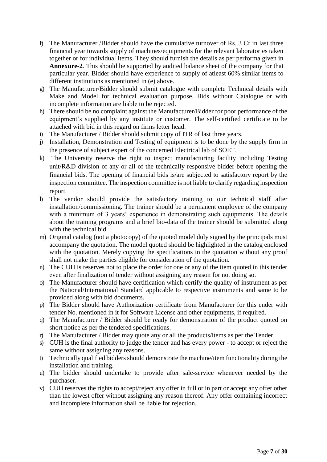- f) The Manufacturer /Bidder should have the cumulative turnover of Rs. 3 Cr in last three financial year towards supply of machines/equipments for the relevant laboratories taken together or for individual items. They should furnish the details as per performa given in **Annexure-2**. This should be supported by audited balance sheet of the company for that particular year. Bidder should have experience to supply of atleast 60% similar items to different institutions as mentioned in (e) above.
- g) The Manufacturer/Bidder should submit catalogue with complete Technical details with Make and Model for technical evaluation purpose. Bids without Catalogue or with incomplete information are liable to be rejected.
- h) There should be no complaint against the Manufacturer/Bidder for poor performance of the equipment's supplied by any institute or customer. The self-certified certificate to be attached with bid in this regard on firms letter head.
- i) The Manufacturer / Bidder should submit copy of ITR of last three years.
- j) Installation, Demonstration and Testing of equipment is to be done by the supply firm in the presence of subject expert of the concerned Electrical lab of SOET.
- k) The University reserve the right to inspect manufacturing facility including Testing unit/R&D division of any or all of the technically responsive bidder before opening the financial bids. The opening of financial bids is/are subjected to satisfactory report by the inspection committee. The inspection committee is not liable to clarify regarding inspection report.
- l) The vendor should provide the satisfactory training to our technical staff after installation/commissioning. The trainer should be a permanent employee of the company with a minimum of 3 years' experience in demonstrating such equipments. The details about the training programs and a brief bio-data of the trainer should be submitted along with the technical bid.
- m) Original catalog (not a photocopy) of the quoted model duly signed by the principals must accompany the quotation. The model quoted should be highlighted in the catalog enclosed with the quotation. Merely copying the specifications in the quotation without any proof shall not make the parties eligible for consideration of the quotation.
- n) The CUH is reserves not to place the order for one or any of the item quoted in this tender even after finalization of tender without assigning any reason for not doing so.
- o) The Manufacturer should have certification which certify the quality of instrument as per the National/International Standard applicable to respective instruments and same to be provided along with bid documents.
- p) The Bidder should have Authorization certificate from Manufacturer for this ender with tender No. mentioned in it for Software License and other equipments, if required.
- q) The Manufacturer / Bidder should be ready for demonstration of the product quoted on short notice as per the tendered specifications.
- r) The Manufacturer / Bidder may quote any or all the products/items as per the Tender.
- s) CUH is the final authority to judge the tender and has every power to accept or reject the same without assigning any reasons.
- t) Technically qualified bidders should demonstrate the machine/item functionality during the installation and training.
- u) The bidder should undertake to provide after sale-service whenever needed by the purchaser.
- v) CUH reserves the rights to accept/reject any offer in full or in part or accept any offer other than the lowest offer without assigning any reason thereof. Any offer containing incorrect and incomplete information shall be liable for rejection.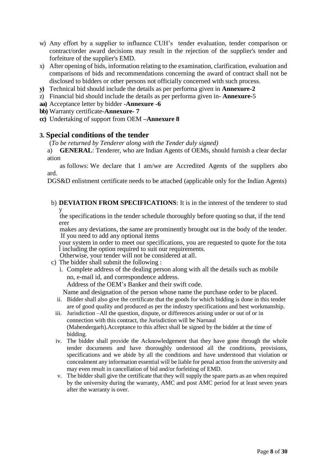- w) Any effort by a supplier to influence CUH's tender evaluation, tender comparison or contract/order award decisions may result in the rejection of the supplier's tender and forfeiture of the supplier's EMD.
- x) After opening of bids, information relating to the examination, clarification, evaluation and comparisons of bids and recommendations concerning the award of contract shall not be disclosed to bidders or other persons not officially concerned with such process.
- **y)** Technical bid should include the details as per performa given in **Annexure-2**
- z) Financial bid should include the details as per performa given in- **Annexure-**5
- **aa)** Acceptance letter by bidder -**Annexure -6**

**bb)** Warranty certificate-**Annexure- 7**

**cc)** Undertaking of support from OEM **–Annexure 8**

#### **3. Special conditions of the tender**

(*To be returned by Tenderer along with the Tender duly signed)* 

a) **GENERAL**: Tenderer, who are Indian Agents of OEMs, should furnish a clear declar ation

as follows: We declare that I am/we are Accredited Agents of the suppliers abo ard.

DGS&D enlistment certificate needs to be attached (applicable only for the Indian Agents)

b) **DEVIATION FROM SPECIFICATIONS**: It is in the interest of the tenderer to stud y

the specifications in the tender schedule thoroughly before quoting so that, if the tend erer

makes any deviations, the same are prominently brought out in the body of the tender. If you need to add any optional items

your system in order to meet our specifications, you are requested to quote for the tota l including the option required to suit our requirements.

Otherwise, your tender will not be considered at all.

- c) The bidder shall submit the following :
	- i. Complete address of the dealing person along with all the details such as mobile no, e-mail id, and correspondence address.

Address of the OEM's Banker and their swift code.

Name and designation of the person whose name the purchase order to be placed.

- ii. Bidder shall also give the certificate that the goods for which bidding is done in this tender are of good quality and produced as per the industry specifications and best workmanship.
- iii. Jurisdiction –All the question, dispute, or differences arising under or out of or in connection with this contract, the Jurisdiction will be Narnaul (Mahendergarh).Acceptance to this affect shall be signed by the bidder at the time of bidding.
- iv. The bidder shall provide the Acknowledgement that they have gone through the whole tender documents and have thoroughly understood all the conditions, provisions, specifications and we abide by all the conditions and have understood that violation or concealment any information essential will be liable for penal action from the university and may even result in cancellation of bid and/or forfeiting of EMD.
- v. The bidder shall give the certificate that they will supply the spare parts as an when required by the university during the warranty, AMC and post AMC period for at least seven years after the warranty is over.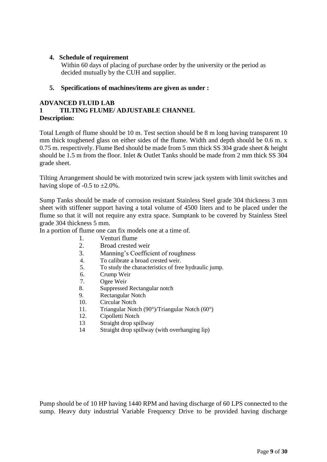# **4. Schedule of requirement**

Within 60 days of placing of purchase order by the university or the period as decided mutually by the CUH and supplier.

# **5. Specifications of machines/items are given as under :**

# **ADVANCED FLUID LAB**

#### **1 TILTING FLUME/ ADJUSTABLE CHANNEL Description:**

Total Length of flume should be 10 m. Test section should be 8 m long having transparent 10 mm thick toughened glass on either sides of the flume. Width and depth should be 0.6 m. x 0.75 m. respectively. Flume Bed should be made from 5 mm thick SS 304 grade sheet & height should be 1.5 m from the floor. Inlet & Outlet Tanks should be made from 2 mm thick SS 304 grade sheet.

Tilting Arrangement should be with motorized twin screw jack system with limit switches and having slope of  $-0.5$  to  $\pm 2.0\%$ .

Sump Tanks should be made of corrosion resistant Stainless Steel grade 304 thickness 3 mm sheet with stiffener support having a total volume of 4500 liters and to be placed under the flume so that it will not require any extra space. Sumptank to be covered by Stainless Steel grade 304 thickness 5 mm.

In a portion of flume one can fix models one at a time of.

- 1. Venturi flume
- 2. Broad crested weir
- 3. Manning's Coefficient of roughness
- 4. To calibrate a broad crested weir.<br>5. To study the characteristics of free
- 5. To study the characteristics of free hydraulic jump.
- 6. Crump Weir
- 7. Ogee Weir
- 8. Suppressed Rectangular notch
- 9. Rectangular Notch
- 10. Circular Notch
- 11. Triangular Notch (90°)/Triangular Notch (60°)
- 12. Cipolletti Notch
- 13 Straight drop spillway
- 14 Straight drop spillway (with overhanging lip)

Pump should be of 10 HP having 1440 RPM and having discharge of 60 LPS connected to the sump. Heavy duty industrial Variable Frequency Drive to be provided having discharge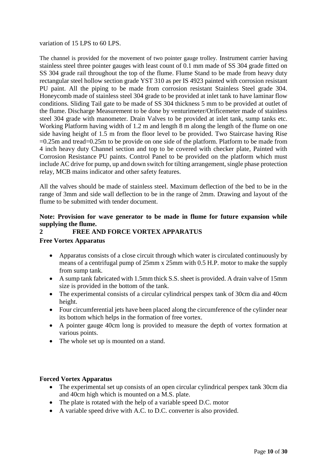variation of 15 LPS to 60 LPS.

The channel is provided for the movement of two pointer gauge trolley. Instrument carrier having stainless steel three pointer gauges with least count of 0.1 mm made of SS 304 grade fitted on SS 304 grade rail throughout the top of the flume. Flume Stand to be made from heavy duty rectangular steel hollow section grade YST 310 as per IS 4923 painted with corrosion resistant PU paint. All the piping to be made from corrosion resistant Stainless Steel grade 304. Honeycomb made of stainless steel 304 grade to be provided at inlet tank to have laminar flow conditions. Sliding Tail gate to be made of SS 304 thickness 5 mm to be provided at outlet of the flume. Discharge Measurement to be done by venturimeter/Orificemeter made of stainless steel 304 grade with manometer. Drain Valves to be provided at inlet tank, sump tanks etc. Working Platform having width of 1.2 m and length 8 m along the length of the flume on one side having height of 1.5 m from the floor level to be provided. Two Staircase having Rise =0.25m and tread=0.25m to be provide on one side of the platform. Platform to be made from 4 inch heavy duty Channel section and top to be covered with checker plate, Painted with Corrosion Resistance PU paints. Control Panel to be provided on the platform which must include AC drive for pump, up and down switch for tilting arrangement, single phase protection relay, MCB mains indicator and other safety features.

All the valves should be made of stainless steel. Maximum deflection of the bed to be in the range of 3mm and side wall deflection to be in the range of 2mm. Drawing and layout of the flume to be submitted with tender document.

# **Note: Provision for wave generator to be made in flume for future expansion while supplying the flume.**

# **2 FREE AND FORCE VORTEX APPARATUS**

# **Free Vortex Apparatus**

- Apparatus consists of a close circuit through which water is circulated continuously by means of a centrifugal pump of 25mm x 25mm with 0.5 H.P. motor to make the supply from sump tank.
- A sump tank fabricated with 1.5mm thick S.S. sheet is provided. A drain valve of 15mm size is provided in the bottom of the tank.
- The experimental consists of a circular cylindrical perspex tank of 30cm dia and 40cm height.
- Four circumferential jets have been placed along the circumference of the cylinder near its bottom which helps in the formation of free vortex.
- A pointer gauge 40cm long is provided to measure the depth of vortex formation at various points.
- The whole set up is mounted on a stand.

#### **Forced Vortex Apparatus**

- The experimental set up consists of an open circular cylindrical perspex tank 30cm dia and 40cm high which is mounted on a M.S. plate.
- The plate is rotated with the help of a variable speed D.C. motor
- A variable speed drive with A.C. to D.C. converter is also provided.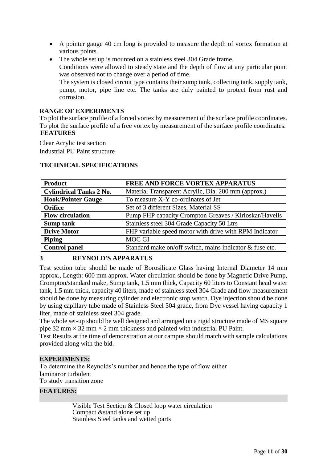- A pointer gauge 40 cm long is provided to measure the depth of vortex formation at various points.
- The whole set up is mounted on a stainless steel 304 Grade frame. Conditions were allowed to steady state and the depth of flow at any particular point was observed not to change over a period of time. The system is closed circuit type contains their sump tank, collecting tank, supply tank,

pump, motor, pipe line etc. The tanks are duly painted to protect from rust and corrosion.

#### **RANGE OF EXPERIMENTS**

To plot the surface profile of a forced vortex by measurement of the surface profile coordinates. To plot the surface profile of a free vortex by measurement of the surface profile coordinates. **FEATURES**

Clear Acrylic test section Industrial PU Paint structure

| <b>Product</b>                 | <b>FREE AND FORCE VORTEX APPARATUS</b>                   |  |  |
|--------------------------------|----------------------------------------------------------|--|--|
| <b>Cylindrical Tanks 2 No.</b> | Material Transparent Acrylic, Dia. 200 mm (approx.)      |  |  |
| <b>Hook/Pointer Gauge</b>      | To measure X-Y co-ordinates of Jet                       |  |  |
| <b>Orifice</b>                 | Set of 3 different Sizes, Material SS                    |  |  |
| <b>Flow circulation</b>        | Pump FHP capacity Crompton Greaves / Kirloskar/Havells   |  |  |
| Sump tank                      | Stainless steel 304 Grade Capacity 50 Ltrs               |  |  |
| <b>Drive Motor</b>             | FHP variable speed motor with drive with RPM Indicator   |  |  |
| <b>Piping</b>                  | <b>MOC GI</b>                                            |  |  |
| <b>Control panel</b>           | Standard make on/off switch, mains indicator & fuse etc. |  |  |

#### **TECHNICAL SPECIFICATIONS**

# **3 REYNOLD'S APPARATUS**

Test section tube should be made of Borosilicate Glass having Internal Diameter 14 mm approx., Length: 600 mm approx. Water circulation should be done by Magnetic Drive Pump, Crompton/standard make, Sump tank, 1.5 mm thick, Capacity 60 liters to Constant head water tank, 1.5 mm thick, capacity 40 liters, made of stainless steel 304 Grade and flow measurement should be done by measuring cylinder and electronic stop watch. Dye injection should be done by using capillary tube made of Stainless Steel 304 grade, from Dye vessel having capacity 1 liter, made of stainless steel 304 grade.

The whole set-up should be well designed and arranged on a rigid structure made of MS square pipe 32 mm  $\times$  32 mm  $\times$  2 mm thickness and painted with industrial PU Paint.

Test Results at the time of demonstration at our campus should match with sample calculations provided along with the bid.

#### **EXPERIMENTS:**

To determine the Reynolds's number and hence the type of flow either laminaror turbulent To study transition zone

#### **FEATURES:**

Visible Test Section & Closed loop water circulation Compact &stand alone set up Stainless Steel tanks and wetted parts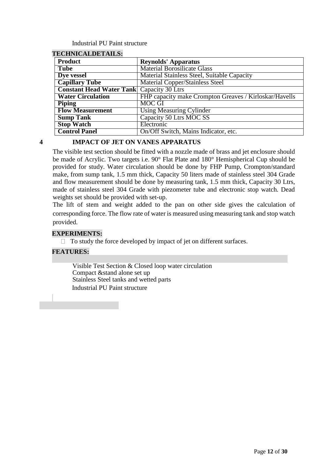#### Industrial PU Paint structure

| песнічісацірстанця.                              |                                                        |
|--------------------------------------------------|--------------------------------------------------------|
| <b>Product</b>                                   | <b>Reynolds' Apparatus</b>                             |
| <b>Tube</b>                                      | <b>Material Borosilicate Glass</b>                     |
| Dye vessel                                       | Material Stainless Steel, Suitable Capacity            |
| <b>Capillary Tube</b>                            | <b>Material Copper/Stainless Steel</b>                 |
| <b>Constant Head Water Tank Capacity 30 Ltrs</b> |                                                        |
| <b>Water Circulation</b>                         | FHP capacity make Crompton Greaves / Kirloskar/Havells |
| <b>Piping</b>                                    | <b>MOC GI</b>                                          |
| <b>Flow Measurement</b>                          | <b>Using Measuring Cylinder</b>                        |
| <b>Sump Tank</b>                                 | Capacity 50 Ltrs MOC SS                                |
| <b>Stop Watch</b>                                | Electronic                                             |
| <b>Control Panel</b>                             | On/Off Switch, Mains Indicator, etc.                   |

#### **TECHNICALDETAILS:**

#### **4 IMPACT OF JET ON VANES APPARATUS**

The visible test section should be fitted with a nozzle made of brass and jet enclosure should be made of Acrylic. Two targets i.e. 90° Flat Plate and 180° Hemispherical Cup should be provided for study. Water circulation should be done by FHP Pump, Crompton/standard make, from sump tank, 1.5 mm thick, Capacity 50 liters made of stainless steel 304 Grade and flow measurement should be done by measuring tank, 1.5 mm thick, Capacity 30 Ltrs, made of stainless steel 304 Grade with piezometer tube and electronic stop watch. Dead weights set should be provided with set-up.

The lift of stem and weight added to the pan on other side gives the calculation of corresponding force. The flow rate of water is measured using measuring tank and stop watch provided.

#### **EXPERIMENTS:**

 $\Box$  To study the force developed by impact of jet on different surfaces.

# **FEATURES:**

Visible Test Section & Closed loop water circulation Compact &stand alone set up Stainless Steel tanks and wetted parts Industrial PU Paint structure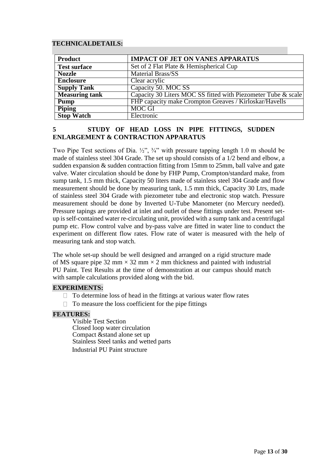#### **TECHNICALDETAILS:**

| <b>Product</b>        | <b>IMPACT OF JET ON VANES APPARATUS</b>                       |
|-----------------------|---------------------------------------------------------------|
| <b>Test surface</b>   | Set of 2 Flat Plate & Hemispherical Cup                       |
| <b>Nozzle</b>         | <b>Material Brass/SS</b>                                      |
| <b>Enclosure</b>      | Clear acrylic                                                 |
| <b>Supply Tank</b>    | Capacity 50. MOC SS                                           |
| <b>Measuring tank</b> | Capacity 30 Liters MOC SS fitted with Piezometer Tube & scale |
| <b>Pump</b>           | FHP capacity make Crompton Greaves / Kirloskar/Havells        |
| <b>Piping</b>         | <b>MOC GI</b>                                                 |
| <b>Stop Watch</b>     | Electronic                                                    |

# **5 STUDY OF HEAD LOSS IN PIPE FITTINGS, SUDDEN ENLARGEMENT & CONTRACTION APPARATUS**

Two Pipe Test sections of Dia. ½", 34" with pressure tapping length 1.0 m should be made of stainless steel 304 Grade. The set up should consists of a 1/2 bend and elbow, a sudden expansion & sudden contraction fitting from 15mm to 25mm, ball valve and gate valve. Water circulation should be done by FHP Pump, Crompton/standard make, from sump tank, 1.5 mm thick, Capacity 50 liters made of stainless steel 304 Grade and flow measurement should be done by measuring tank, 1.5 mm thick, Capacity 30 Ltrs, made of stainless steel 304 Grade with piezometer tube and electronic stop watch. Pressure measurement should be done by Inverted U-Tube Manometer (no Mercury needed). Pressure tapings are provided at inlet and outlet of these fittings under test. Present setup is self-contained water re-circulating unit, provided with a sump tank and a centrifugal pump etc. Flow control valve and by-pass valve are fitted in water line to conduct the experiment on different flow rates. Flow rate of water is measured with the help of measuring tank and stop watch.

The whole set-up should be well designed and arranged on a rigid structure made of MS square pipe 32 mm  $\times$  32 mm  $\times$  2 mm thickness and painted with industrial PU Paint. Test Results at the time of demonstration at our campus should match with sample calculations provided along with the bid.

#### **EXPERIMENTS:**

- $\Box$  To determine loss of head in the fittings at various water flow rates
- $\Box$  To measure the loss coefficient for the pipe fittings

#### **FEATURES:**

Visible Test Section Closed loop water circulation Compact &stand alone set up Stainless Steel tanks and wetted parts Industrial PU Paint structure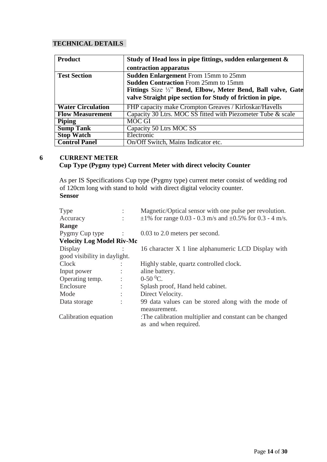# **TECHNICAL DETAILS**

| <b>Product</b>           | Study of Head loss in pipe fittings, sudden enlargement $\&$ |  |  |
|--------------------------|--------------------------------------------------------------|--|--|
|                          | contraction apparatus                                        |  |  |
| <b>Test Section</b>      | <b>Sudden Enlargement</b> From 15mm to 25mm                  |  |  |
|                          | <b>Sudden Contraction From 25mm to 15mm</b>                  |  |  |
|                          | Fittings Size 1/2" Bend, Elbow, Meter Bend, Ball valve, Gate |  |  |
|                          | valve Straight pipe section for Study of friction in pipe.   |  |  |
| <b>Water Circulation</b> | FHP capacity make Crompton Greaves / Kirloskar/Havells       |  |  |
| <b>Flow Measurement</b>  | Capacity 30 Ltrs. MOC SS fitted with Piezometer Tube & scale |  |  |
| <b>Piping</b>            | <b>MOC GI</b>                                                |  |  |
| <b>Sump Tank</b>         | Capacity 50 Ltrs MOC SS                                      |  |  |
| <b>Stop Watch</b>        | Electronic                                                   |  |  |
| <b>Control Panel</b>     | On/Off Switch, Mains Indicator etc.                          |  |  |

# **6 CURRENT METER Cup Type (Pygmy type) Current Meter with direct velocity Counter**

As per IS Specifications Cup type (Pygmy type) current meter consist of wedding rod of 120cm long with stand to hold with direct digital velocity counter. **Sensor**

| <b>Type</b>                      |                      | Magnetic/Optical sensor with one pulse per revolution.                                           |  |  |
|----------------------------------|----------------------|--------------------------------------------------------------------------------------------------|--|--|
| Accuracy                         |                      | $\pm 1\%$ for range 0.03 - 0.3 m/s and $\pm 0.5\%$ for 0.3 - 4 m/s.                              |  |  |
| Range                            |                      |                                                                                                  |  |  |
| Pygmy Cup type                   | $\sim$ 1             | 0.03 to 2.0 meters per second.                                                                   |  |  |
| <b>Velocity Log Model Riv-Mc</b> |                      |                                                                                                  |  |  |
| Display                          |                      | 16 character X 1 line alphanumeric LCD Display with                                              |  |  |
| good visibility in daylight.     |                      |                                                                                                  |  |  |
| Clock                            |                      | Highly stable, quartz controlled clock.                                                          |  |  |
| Input power                      |                      | aline battery.                                                                                   |  |  |
| Operating temp.                  | $\ddot{\cdot}$       | $0-50$ <sup>0</sup> C.                                                                           |  |  |
| Enclosure                        | $\ddot{\phantom{a}}$ | Splash proof, Hand held cabinet.                                                                 |  |  |
| Mode                             | ٠                    | Direct Velocity.                                                                                 |  |  |
| Data storage                     | ٠                    | 99 data values can be stored along with the mode of                                              |  |  |
| Calibration equation             |                      | measurement.<br>:The calibration multiplier and constant can be changed<br>as and when required. |  |  |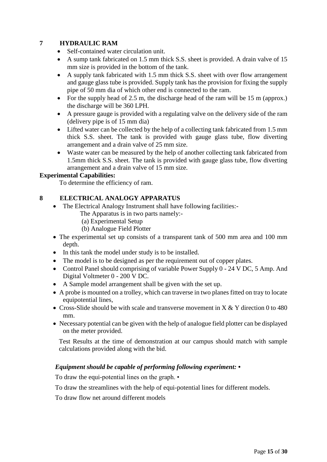# **7 HYDRAULIC RAM**

- Self-contained water circulation unit.
- A sump tank fabricated on 1.5 mm thick S.S. sheet is provided. A drain valve of 15 mm size is provided in the bottom of the tank.
- A supply tank fabricated with 1.5 mm thick S.S. sheet with over flow arrangement and gauge glass tube is provided. Supply tank has the provision for fixing the supply pipe of 50 mm dia of which other end is connected to the ram.
- For the supply head of 2.5 m, the discharge head of the ram will be 15 m (approx.) the discharge will be 360 LPH.
- A pressure gauge is provided with a regulating valve on the delivery side of the ram (delivery pipe is of 15 mm dia)
- Lifted water can be collected by the help of a collecting tank fabricated from 1.5 mm thick S.S. sheet. The tank is provided with gauge glass tube, flow diverting arrangement and a drain valve of 25 mm size.
- Waste water can be measured by the help of another collecting tank fabricated from 1.5mm thick S.S. sheet. The tank is provided with gauge glass tube, flow diverting arrangement and a drain valve of 15 mm size.

# **Experimental Capabilities:**

To determine the efficiency of ram.

# **8 ELECTRICAL ANALOGY APPARATUS**

- The Electrical Analogy Instrument shall have following facilities:-
	- The Apparatus is in two parts namely:-
	- (a) Experimental Setup
	- (b) Analogue Field Plotter
- The experimental set up consists of a transparent tank of 500 mm area and 100 mm depth.
- In this tank the model under study is to be installed.
- The model is to be designed as per the requirement out of copper plates.
- Control Panel should comprising of variable Power Supply 0 24 V DC, 5 Amp. And Digital Voltmeter 0 - 200 V DC.
- A Sample model arrangement shall be given with the set up.
- A probe is mounted on a trolley, which can traverse in two planes fitted on tray to locate equipotential lines,
- Cross-Slide should be with scale and transverse movement in  $X & Y$  direction 0 to 480 mm.
- Necessary potential can be given with the help of analogue field plotter can be displayed on the meter provided.

Test Results at the time of demonstration at our campus should match with sample calculations provided along with the bid.

# *Equipment should be capable of performing following experiment: •*

To draw the equi-potential lines on the graph. •

To draw the streamlines with the help of equi-potential lines for different models.

To draw flow net around different models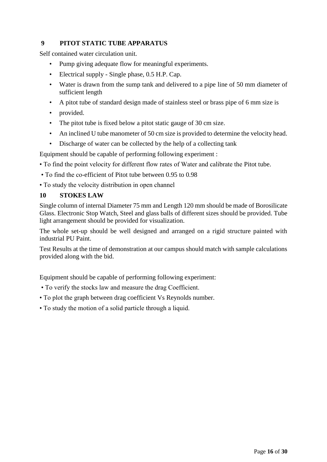# **9 PITOT STATIC TUBE APPARATUS**

Self contained water circulation unit.

- Pump giving adequate flow for meaningful experiments.
- Electrical supply Single phase, 0.5 H.P. Cap.
- Water is drawn from the sump tank and delivered to a pipe line of 50 mm diameter of sufficient length
- A pitot tube of standard design made of stainless steel or brass pipe of 6 mm size is
- provided.
- The pitot tube is fixed below a pitot static gauge of 30 cm size.
- An inclined U tube manometer of 50 cm size is provided to determine the velocity head.
- Discharge of water can be collected by the help of a collecting tank

Equipment should be capable of performing following experiment :

- To find the point velocity for different flow rates of Water and calibrate the Pitot tube.
- To find the co-efficient of Pitot tube between 0.95 to 0.98
- To study the velocity distribution in open channel

#### **10 STOKES LAW**

Single column of internal Diameter 75 mm and Length 120 mm should be made of Borosilicate Glass. Electronic Stop Watch, Steel and glass balls of different sizes should be provided. Tube light arrangement should be provided for visualization.

The whole set-up should be well designed and arranged on a rigid structure painted with industrial PU Paint.

Test Results at the time of demonstration at our campus should match with sample calculations provided along with the bid.

Equipment should be capable of performing following experiment:

- To verify the stocks law and measure the drag Coefficient.
- To plot the graph between drag coefficient Vs Reynolds number.
- To study the motion of a solid particle through a liquid.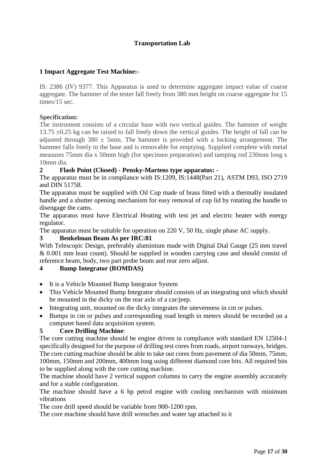# **Transportation Lab**

#### **1 Impact Aggregate Test Machine:-**

IS: 2386 (IV) 9377. This Apparatus is used to determine aggregate impact value of coarse aggregate. The hammer of the tester fall freely from 380 mm height on coarse aggregate for 15 times/15 sec.

#### **Specification:**

The instrument consists of a circular base with two vertical guides. The hammer of weight 13.75 ±0.25 kg can be raised to fall freely down the vertical guides. The height of fall can be adjusted through  $380 \pm 5$ mm. The hammer is provided with a locking arrangement. The hammer falls freely to the base and is removable for emptying. Supplied complete with metal measures 75mm dia x 50mm high (for specimen preparation) and tamping rod 230mm long x 10mm dia.

#### **2 Flash Point (Closed) - Pensky-Martens type apparatus: -**

The apparatus must be in compliance with IS:1209, IS:1448(Part 21), ASTM D93, ISO 2719 and DIN 51758.

The apparatus must be supplied with Oil Cup made of brass fitted with a thermally insulated handle and a shutter opening mechanism for easy removal of cup lid by rotating the handle to disengage the cams.

The apparatus must have Electrical Heating with test jet and electric heater with energy regulator.

The apparatus must be suitable for operation on 220 V, 50 Hz, single phase AC supply.

#### **3 Benkelman Beam As per IRC:81**

With Telescopic Design, preferably aluminium made with Digital Dial Gauge (25 mm travel & 0.001 mm least count). Should be supplied in wooden carrying case and should consist of reference beam, body, two part probe beam and rear zero adjust.

# **4 Bump Integrator (ROMDAS)**

- It is a Vehicle Mounted Bump Integrator System
- This Vehicle Mounted Bump Integrator should consists of an integrating unit which should be mounted in the dicky on the rear axle of a car/jeep.
- Integrating unit, mounted on the dicky integrates the unevenness in cm or pulses.
- Bumps in cm or pulses and corresponding road length in meters should be recorded on a computer based data acquisition system.

# **5 Core Drilling Machine**:

The core cutting machine should be engine driven in compliance with standard EN 12504-1 specifically designed for the purpose of drilling test cores from roads, airport runways, bridges. The core cutting machine should be able to take out cores from pavement of dia 50mm, 75mm, 100mm, 150mm and 200mm, 400mm long using different diamond core bits. All required bits to be supplied along with the core cutting machine.

The machine should have 2 vertical support columns to carry the engine assembly accurately and for a stable configuration.

The machine should have a 6 hp petrol engine with cooling mechanism with minimum vibrations

The core drill speed should be variable from 900-1200 rpm.

The core machine should have drill wrenches and water tap attached to it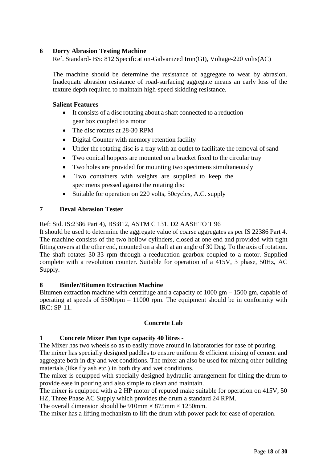#### **6 Dorry Abrasion Testing Machine**

Ref. Standard- BS: 812 Specification-Galvanized Iron(GI), Voltage-220 volts(AC)

The machine should be determine the resistance of aggregate to wear by abrasion. Inadequate abrasion resistance of road-surfacing aggregate means an early loss of the texture depth required to maintain high-speed skidding resistance.

#### **Salient Features**

- It consists of a disc rotating about a shaft connected to a reduction gear box coupled to a motor
- The disc rotates at 28-30 RPM
- Digital Counter with memory retention facility
- Under the rotating disc is a tray with an outlet to facilitate the removal of sand
- Two conical hoppers are mounted on a bracket fixed to the circular tray
- Two holes are provided for mounting two specimens simultaneously
- Two containers with weights are supplied to keep the specimens pressed against the rotating disc
- Suitable for operation on 220 volts, 50cycles, A.C. supply

#### **7 Deval Abrasion Tester**

#### Ref: Std. IS:2386 Part 4), BS:812, ASTM C 131, D2 AASHTO T 96

It should be used to determine the aggregate value of coarse aggregates as per IS 22386 Part 4. The machine consists of the two hollow cylinders, closed at one end and provided with tight fitting covers at the other end, mounted on a shaft at an angle of 30 Deg. To the axis of rotation. The shaft rotates 30-33 rpm through a reeducation gearbox coupled to a motor. Supplied complete with a revolution counter. Suitable for operation of a 415V, 3 phase, 50Hz, AC Supply.

#### **8 Binder/Bitumen Extraction Machine**

Bitumen extraction machine with centrifuge and a capacity of  $1000 \text{ gm} - 1500 \text{ gm}$ , capable of operating at speeds of 5500rpm – 11000 rpm. The equipment should be in conformity with IRC: SP-11.

#### **Concrete Lab**

# **1 Concrete Mixer Pan type capacity 40 litres -**

The Mixer has two wheels so as to easily move around in laboratories for ease of pouring.

The mixer has specially designed paddles to ensure uniform & efficient mixing of cement and aggregate both in dry and wet conditions. The mixer an also be used for mixing other building materials (like fly ash etc.) in both dry and wet conditions.

The mixer is equipped with specially designed hydraulic arrangement for tilting the drum to provide ease in pouring and also simple to clean and maintain.

The mixer is equipped with a 2 HP motor of reputed make suitable for operation on 415V, 50 HZ, Three Phase AC Supply which provides the drum a standard 24 RPM.

The overall dimension should be 910mm  $\times$  875mm  $\times$  1250mm.

The mixer has a lifting mechanism to lift the drum with power pack for ease of operation.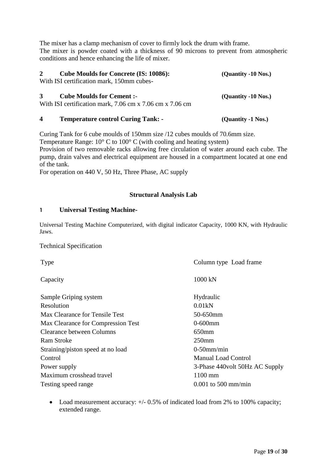The mixer has a clamp mechanism of cover to firmly lock the drum with frame. The mixer is powder coated with a thickness of 90 microns to prevent from atmospheric conditions and hence enhancing the life of mixer.

| <b>Cube Moulds for Concrete (IS: 10086):</b><br>$2^{\circ}$<br>With ISI certification mark, 150mm cubes-       | (Quantity -10 Nos.) |
|----------------------------------------------------------------------------------------------------------------|---------------------|
| <b>Cube Moulds for Cement :-</b><br>3 <sup>7</sup><br>With ISI certification mark, 7.06 cm x 7.06 cm x 7.06 cm | (Quantity -10 Nos.) |

**4 Temperature control Curing Tank: - (Quantity -1 Nos.)**

Curing Tank for 6 cube moulds of 150mm size /12 cubes moulds of 70.6mm size. Temperature Range: 10° C to 100° C (with cooling and heating system) Provision of two removable racks allowing free circulation of water around each cube. The pump, drain valves and electrical equipment are housed in a compartment located at one end of the tank.

For operation on 440 V, 50 Hz, Three Phase, AC supply

# **Structural Analysis Lab**

# **1 Universal Testing Machine-**

Universal Testing Machine Computerized, with digital indicator Capacity, 1000 KN, with Hydraulic Jaws.

Technical Specification

| Column type Load frame          |
|---------------------------------|
| 1000 kN                         |
| Hydraulic                       |
| 0.01kN                          |
| 50-650mm                        |
| $0-600$ mm                      |
| 650mm                           |
| 250 <sub>mm</sub>               |
| $0-50$ mm/min                   |
| <b>Manual Load Control</b>      |
| 3-Phase 440 volt 50Hz AC Supply |
| 1100 mm                         |
| $0.001$ to 500 mm/min           |
|                                 |

• Load measurement accuracy:  $+/- 0.5\%$  of indicated load from 2% to 100% capacity; extended range.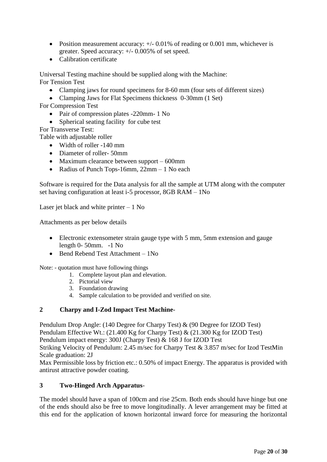- Position measurement accuracy:  $+/-$  0.01% of reading or 0.001 mm, whichever is greater. Speed accuracy: +/- 0.005% of set speed.
- Calibration certificate

Universal Testing machine should be supplied along with the Machine: For Tension Test

- Clamping jaws for round specimens for 8-60 mm (four sets of different sizes)
- Clamping Jaws for Flat Specimens thickness 0-30mm (1 Set)

For Compression Test

- Pair of compression plates -220mm- 1 No
- Spherical seating facility for cube test

For Transverse Test:

Table with adjustable roller

- Width of roller -140 mm
- Diameter of roller- 50mm
- Maximum clearance between support 600mm
- Radius of Punch Tops-16mm, 22mm 1 No each

Software is required for the Data analysis for all the sample at UTM along with the computer set having configuration at least i-5 processor, 8GB RAM – 1No

Laser jet black and white printer – 1 No

Attachments as per below details

- Electronic extensometer strain gauge type with 5 mm, 5mm extension and gauge length 0- 50mm. -1 No
- Bend Rebend Test Attachment 1No

Note: - quotation must have following things

- 1. Complete layout plan and elevation.
- 2. Pictorial view
- 3. Foundation drawing
- 4. Sample calculation to be provided and verified on site.

#### **2 Charpy and I-Zod Impact Test Machine**-

Pendulum Drop Angle: (140 Degree for Charpy Test) & (90 Degree for IZOD Test) Pendulam Effective Wt.: (21.400 Kg for Charpy Test) & (21.300 Kg for IZOD Test) Pendulum impact energy: 300J (Charpy Test) & 168 J for IZOD Test Striking Velocity of Pendulum: 2.45 m/sec for Charpy Test & 3.857 m/sec for Izod TestMin Scale graduation: 2J

Max Permissible loss by friction etc.: 0.50% of impact Energy. The apparatus is provided with antirust attractive powder coating.

#### **3 Two-Hinged Arch Apparatus**-

The model should have a span of 100cm and rise 25cm. Both ends should have hinge but one of the ends should also be free to move longitudinally. A lever arrangement may be fitted at this end for the application of known horizontal inward force for measuring the horizontal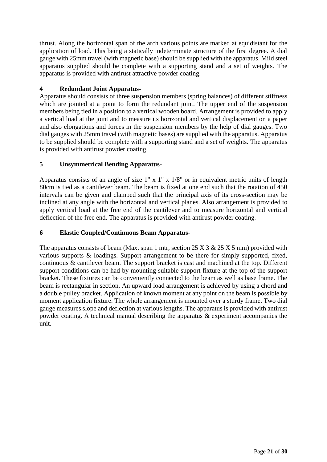thrust. Along the horizontal span of the arch various points are marked at equidistant for the application of load. This being a statically indeterminate structure of the first degree. A dial gauge with 25mm travel (with magnetic base) should be supplied with the apparatus. Mild steel apparatus supplied should be complete with a supporting stand and a set of weights. The apparatus is provided with antirust attractive powder coating.

# **4 Redundant Joint Apparatus-**

Apparatus should consists of three suspension members (spring balances) of different stiffness which are jointed at a point to form the redundant joint. The upper end of the suspension members being tied in a position to a vertical wooden board. Arrangement is provided to apply a vertical load at the joint and to measure its horizontal and vertical displacement on a paper and also elongations and forces in the suspension members by the help of dial gauges. Two dial gauges with 25mm travel (with magnetic bases) are supplied with the apparatus. Apparatus to be supplied should be complete with a supporting stand and a set of weights. The apparatus is provided with antirust powder coating.

# **5 Unsymmetrical Bending Apparatus**-

Apparatus consists of an angle of size 1" x 1" x 1/8" or in equivalent metric units of length 80cm is tied as a cantilever beam. The beam is fixed at one end such that the rotation of 450 intervals can be given and clamped such that the principal axis of its cross-section may be inclined at any angle with the horizontal and vertical planes. Also arrangement is provided to apply vertical load at the free end of the cantilever and to measure horizontal and vertical deflection of the free end. The apparatus is provided with antirust powder coating.

# **6 Elastic Coupled/Continuous Beam Apparatus**-

The apparatus consists of beam (Max. span 1 mtr, section  $25 \times 3 \& 25 \times 5$  mm) provided with various supports & loadings. Support arrangement to be there for simply supported, fixed, continuous & cantilever beam. The support bracket is cast and machined at the top. Different support conditions can be had by mounting suitable support fixture at the top of the support bracket. These fixtures can be conveniently connected to the beam as well as base frame. The beam is rectangular in section. An upward load arrangement is achieved by using a chord and a double pulley bracket. Application of known moment at any point on the beam is possible by moment application fixture. The whole arrangement is mounted over a sturdy frame. Two dial gauge measures slope and deflection at various lengths. The apparatus is provided with antirust powder coating. A technical manual describing the apparatus & experiment accompanies the unit.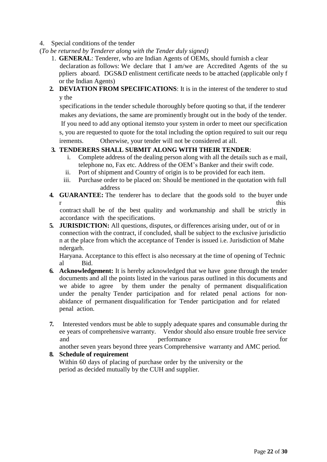#### 4. Special conditions of the tender

- (*To be returned by Tenderer along with the Tender duly signed)* 
	- 1. **GENERAL**: Tenderer, who are Indian Agents of OEMs, should furnish a clear declaration as follows: We declare that I am/we are Accredited Agents of the su ppliers aboard. DGS&D enlistment certificate needs to be attached (applicable only f or the Indian Agents)
	- **2. DEVIATION FROM SPECIFICATIONS**: It is in the interest of the tenderer to stud y the

specifications in the tender schedule thoroughly before quoting so that, if the tenderer makes any deviations, the same are prominently brought out in the body of the tender. If you need to add any optional itemsto your system in order to meet our specification s, you are requested to quote for the total including the option required to suit our requ irements. Otherwise, your tender will not be considered at all.

# **3. TENDERERS SHALL SUBMIT ALONG WITH THEIR TENDER**:

- i. Complete address of the dealing person along with all the details such as e mail, telephone no, Fax etc. Address of the OEM's Banker and their swift code.
- ii. Port of shipment and Country of origin is to be provided for each item.
- iii. Purchase order to be placed on: Should be mentioned in the quotation with full address
- **4. GUARANTEE:** The tenderer has to declare that the goods sold to the buyer unde r this

contract shall be of the best quality and workmanship and shall be strictly in accordance with the specifications.

**5. JURISDICTION:** All questions, disputes, or differences arising under, out of or in connection with the contract, if concluded, shall be subject to the exclusive jurisdictio n at the place from which the acceptance of Tender is issued i.e. Jurisdiction of Mahe ndergarh.

Haryana. Acceptance to this effect is also necessary at the time of opening of Technic al Bid.

- **6. Acknowledgement:** It is hereby acknowledged that we have gone through the tender documents and all the points listed in the various paras outlined in this documents and we abide to agree by them under the penalty of permanent disqualification under the penalty Tender participation and for related penal actions for nonabidance of permanent disqualification for Tender participation and for related penal action.
- **7.** Interested vendors must be able to supply adequate spares and consumable during thr ee years of comprehensive warranty. Vendor should also ensure trouble free service and performance for

another seven years beyond three years Comprehensive warranty and AMC period.

# **8. Schedule of requirement**

Within 60 days of placing of purchase order by the university or the period as decided mutually by the CUH and supplier.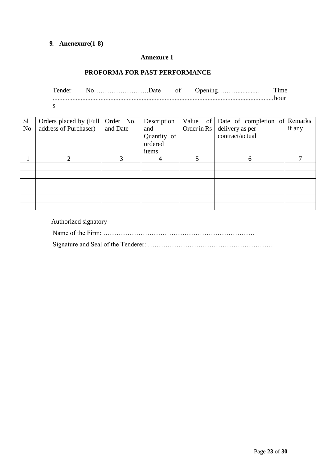# **9. Anenexure(1-8)**

#### **Annexure 1**

#### **PROFORMA FOR PAST PERFORMANCE**

Tender No…………………….Date of Opening………............. Time ......................................................................................................................................hour

| ۰.<br>., |
|----------|
|----------|

| S <sub>1</sub> | Orders placed by (Full   Order No. |          | Description |               | Value of Date of completion of Remarks |        |
|----------------|------------------------------------|----------|-------------|---------------|----------------------------------------|--------|
| N <sub>o</sub> | address of Purchaser)              | and Date | and         | Order in $Rs$ | delivery as per                        | if any |
|                |                                    |          | Quantity of |               | contract/actual                        |        |
|                |                                    |          | ordered     |               |                                        |        |
|                |                                    |          | items       |               |                                        |        |
|                | 2                                  | 3        |             | 5             | 6                                      |        |
|                |                                    |          |             |               |                                        |        |
|                |                                    |          |             |               |                                        |        |
|                |                                    |          |             |               |                                        |        |
|                |                                    |          |             |               |                                        |        |
|                |                                    |          |             |               |                                        |        |
|                |                                    |          |             |               |                                        |        |

Authorized signatory

Name of the Firm: ……………………………………………………………

Signature and Seal of the Tenderer: …………………………………………………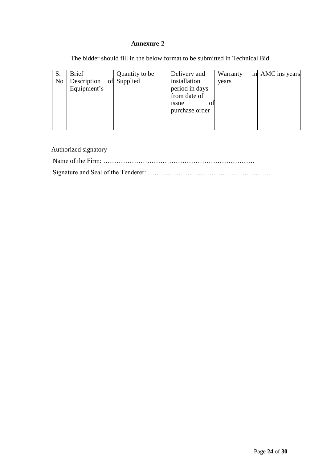#### **Annexure-2**

The bidder should fill in the below format to be submitted in Technical Bid

| S.             | <b>Brief</b>               | Quantity to be | Delivery and                   | Warranty | in AMC ins years |
|----------------|----------------------------|----------------|--------------------------------|----------|------------------|
| N <sub>o</sub> | Description<br>Equipment's | of Supplied    | installation<br>period in days | years    |                  |
|                |                            |                | from date of                   |          |                  |
|                |                            |                | issue<br>OI.<br>purchase order |          |                  |
|                |                            |                |                                |          |                  |
|                |                            |                |                                |          |                  |

Authorized signatory Name of the Firm: …………………………………………………………… Signature and Seal of the Tenderer: …………………………………………………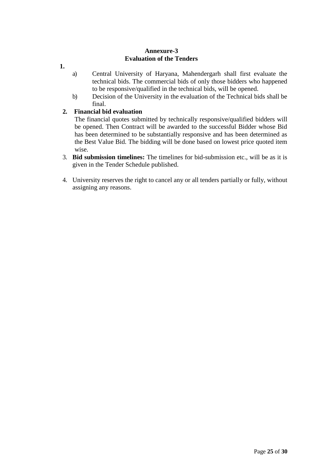#### **Annexure-3 Evaluation of the Tenders**

- **1.**
- a) Central University of Haryana, Mahendergarh shall first evaluate the technical bids. The commercial bids of only those bidders who happened to be responsive/qualified in the technical bids, will be opened.
- b) Decision of the University in the evaluation of the Technical bids shall be final.

# **2. Financial bid evaluation**

The financial quotes submitted by technically responsive/qualified bidders will be opened. Then Contract will be awarded to the successful Bidder whose Bid has been determined to be substantially responsive and has been determined as the Best Value Bid. The bidding will be done based on lowest price quoted item wise.

- 3. **Bid submission timelines:** The timelines for bid-submission etc., will be as it is given in the Tender Schedule published.
- 4. University reserves the right to cancel any or all tenders partially or fully, without assigning any reasons.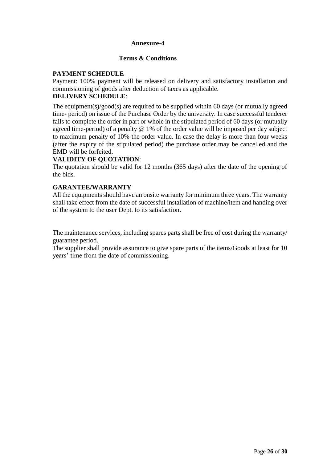#### **Annexure-4**

#### **Terms & Conditions**

# **PAYMENT SCHEDULE**

Payment: 100% payment will be released on delivery and satisfactory installation and commissioning of goods after deduction of taxes as applicable.

# **DELIVERY SCHEDULE**:

The equipment(s)/good(s) are required to be supplied within 60 days (or mutually agreed time- period) on issue of the Purchase Order by the university. In case successful tenderer fails to complete the order in part or whole in the stipulated period of 60 days (or mutually agreed time-period) of a penalty @ 1% of the order value will be imposed per day subject to maximum penalty of 10% the order value. In case the delay is more than four weeks (after the expiry of the stipulated period) the purchase order may be cancelled and the EMD will be forfeited.

# **VALIDITY OF QUOTATION**:

The quotation should be valid for 12 months (365 days) after the date of the opening of the bids.

#### **GARANTEE/WARRANTY**

All the equipments should have an onsite warranty for minimum three years. The warranty shall take effect from the date of successful installation of machine/item and handing over of the system to the user Dept. to its satisfaction**.**

The maintenance services, including spares parts shall be free of cost during the warranty/ guarantee period.

The supplier shall provide assurance to give spare parts of the items/Goods at least for 10 years' time from the date of commissioning.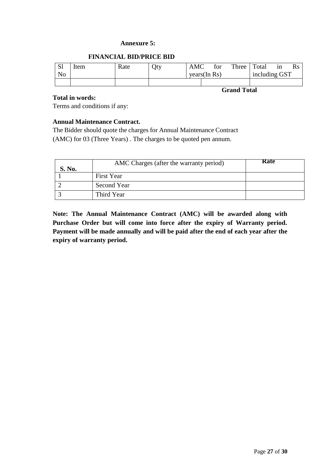#### **Annexure 5:**

#### **FINANCIAL BID/PRICE BID**

| C1<br>ЮI       | Item | Rate | Oty | <b>AMC</b>   |  | tor | Three         | Total | 1n | Rs |
|----------------|------|------|-----|--------------|--|-----|---------------|-------|----|----|
| N <sub>o</sub> |      |      |     | years(In Rs) |  |     | including GST |       |    |    |
|                |      |      |     |              |  |     |               |       |    |    |

**Grand Total**

#### **Total in words:**

Terms and conditions if any:

#### **Annual Maintenance Contract.**

The Bidder should quote the charges for Annual Maintenance Contract (AMC) for 03 (Three Years) . The charges to be quoted pen annum.

| S. No. | AMC Charges (after the warranty period) | Rate |
|--------|-----------------------------------------|------|
|        | First Year                              |      |
|        | Second Year                             |      |
|        | Third Year                              |      |

**Note: The Annual Maintenance Contract (AMC) will be awarded along with Purchase Order but will come into force after the expiry of Warranty period. Payment will be made annually and will be paid after the end of each year after the expiry of warranty period.**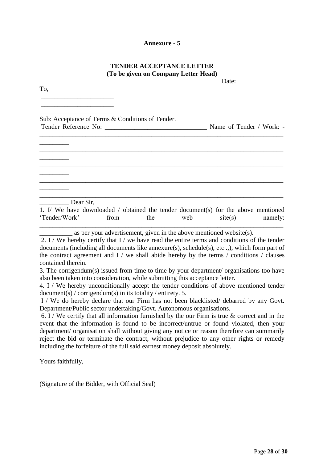#### **Annexure - 5**

#### **TENDER ACCEPTANCE LETTER (To be given on Company Letter Head)**

Date:

To,

\_\_\_\_\_\_\_\_\_\_\_\_\_\_\_\_\_\_\_\_\_\_ \_\_\_\_\_\_\_\_\_\_\_\_\_\_\_\_\_\_\_\_\_\_

\_\_\_\_\_\_\_\_\_\_\_\_\_\_\_\_\_\_\_\_\_\_ Sub: Acceptance of Terms & Conditions of Tender. Tender Reference No: \_\_\_\_\_\_\_\_\_\_\_\_\_\_\_\_\_\_\_\_\_\_\_\_\_\_\_\_\_\_\_ Name of Tender / Work: - \_\_\_\_\_\_\_\_\_\_\_\_\_\_\_\_\_\_\_\_\_\_\_\_\_\_\_\_\_\_\_\_\_\_\_\_\_\_\_\_\_\_\_\_\_\_\_\_\_\_\_\_\_\_\_\_\_\_\_\_\_\_\_\_\_\_\_\_\_\_\_\_\_\_  $\overline{\phantom{a}}$   $\overline{\phantom{a}}$ \_\_\_\_\_\_\_\_\_\_\_\_\_\_\_\_\_\_\_\_\_\_\_\_\_\_\_\_\_\_\_\_\_\_\_\_\_\_\_\_\_\_\_\_\_\_\_\_\_\_\_\_\_\_\_\_\_\_\_\_\_\_\_\_\_\_\_\_\_\_\_\_\_\_  $\overline{\phantom{a}}$  , where  $\overline{\phantom{a}}$ \_\_\_\_\_\_\_\_\_\_\_\_\_\_\_\_\_\_\_\_\_\_\_\_\_\_\_\_\_\_\_\_\_\_\_\_\_\_\_\_\_\_\_\_\_\_\_\_\_\_\_\_\_\_\_\_\_\_\_\_\_\_\_\_\_\_\_\_\_\_\_\_\_\_ \_\_\_\_\_\_\_\_\_\_\_\_\_\_\_\_\_\_\_\_\_\_\_\_\_\_\_\_\_\_\_\_\_\_\_\_\_\_\_\_\_\_\_\_\_\_\_\_\_\_\_\_\_\_\_\_\_\_\_\_\_\_\_\_\_\_\_\_\_\_\_\_\_\_  $\overline{\phantom{a}}$  , where  $\overline{\phantom{a}}$ \_\_\_\_\_\_\_\_\_\_\_\_\_\_\_\_\_\_\_\_\_\_\_\_\_\_\_\_\_\_\_\_\_\_\_\_\_\_\_\_\_\_\_\_\_\_\_\_\_\_\_\_\_\_\_\_\_\_\_\_\_\_\_\_\_\_\_\_\_\_\_\_\_\_ Dear Sir. 1. I/ We have downloaded / obtained the tender document(s) for the above mentioned 'Tender/Work' from the web site(s) namely:

\_\_\_\_\_\_\_\_\_\_\_\_\_\_\_\_\_\_\_\_\_\_\_\_\_\_\_\_\_\_\_\_\_\_\_\_\_\_\_\_\_\_\_\_\_\_\_\_\_\_\_\_\_\_\_\_\_\_\_\_\_\_\_\_\_\_\_\_\_\_\_\_\_\_  $\equiv$  as per your advertisement, given in the above mentioned website(s).

2. I / We hereby certify that I / we have read the entire terms and conditions of the tender documents (including all documents like annexure(s), schedule(s), etc .,), which form part of the contract agreement and  $I /$  we shall abide hereby by the terms  $/$  conditions  $/$  clauses contained therein.

3. The corrigendum(s) issued from time to time by your department/ organisations too have also been taken into consideration, while submitting this acceptance letter.

4. I / We hereby unconditionally accept the tender conditions of above mentioned tender document(s) / corrigendum(s) in its totality / entirety. 5.

I / We do hereby declare that our Firm has not been blacklisted/ debarred by any Govt. Department/Public sector undertaking/Govt. Autonomous organisations.

6. I / We certify that all information furnished by the our Firm is true  $\&$  correct and in the event that the information is found to be incorrect/untrue or found violated, then your department/ organisation shall without giving any notice or reason therefore can summarily reject the bid or terminate the contract, without prejudice to any other rights or remedy including the forfeiture of the full said earnest money deposit absolutely.

Yours faithfully,

(Signature of the Bidder, with Official Seal)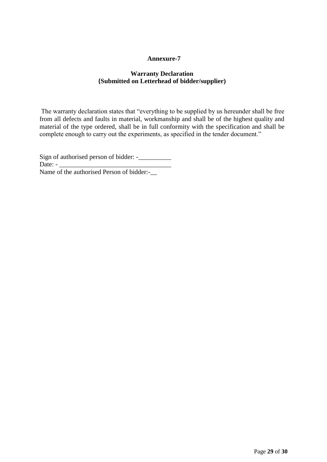#### **Annexure-7**

# **Warranty Declaration {Submitted on Letterhead of bidder/supplier)**

The warranty declaration states that "everything to be supplied by us hereunder shall be free from all defects and faults in material, workmanship and shall be of the highest quality and material of the type ordered, shall be in full conformity with the specification and shall be complete enough to carry out the experiments, as specified in the tender document."

Sign of authorised person of bidder: -\_\_\_\_\_\_\_\_\_\_ Date: -Name of the authorised Person of bidder:-\_\_